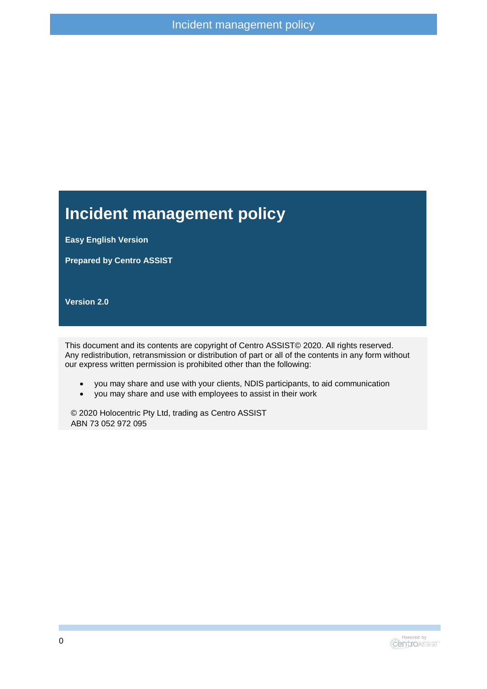### **Incident management policy**

**Easy English Version**

**Prepared by Centro ASSIST**

**Version 2.0**

This document and its contents are copyright of Centro ASSIST© 2020. All rights reserved. Any redistribution, retransmission or distribution of part or all of the contents in any form without our express written permission is prohibited other than the following:

- you may share and use with your clients, NDIS participants, to aid communication
- you may share and use with employees to assist in their work

© 2020 Holocentric Pty Ltd, trading as Centro ASSIST ABN 73 052 972 095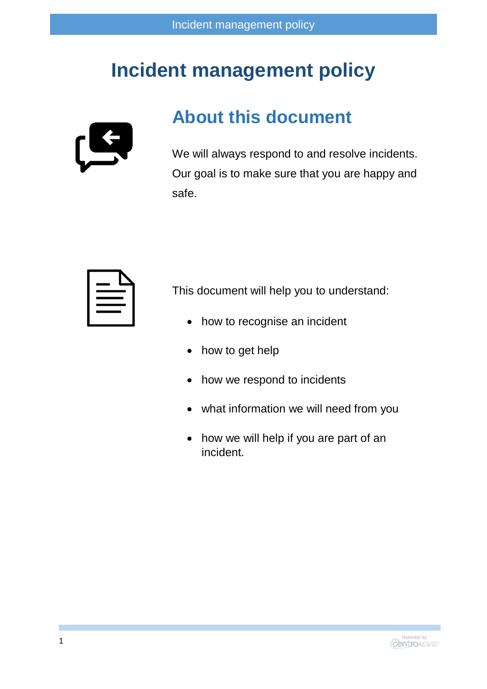## **Incident management policy**



#### **About this document**

We will always respond to and resolve incidents. Our goal is to make sure that you are happy and safe.



This document will help you to understand:

- how to recognise an incident
- how to get help
- how we respond to incidents
- what information we will need from you
- how we will help if you are part of an incident.

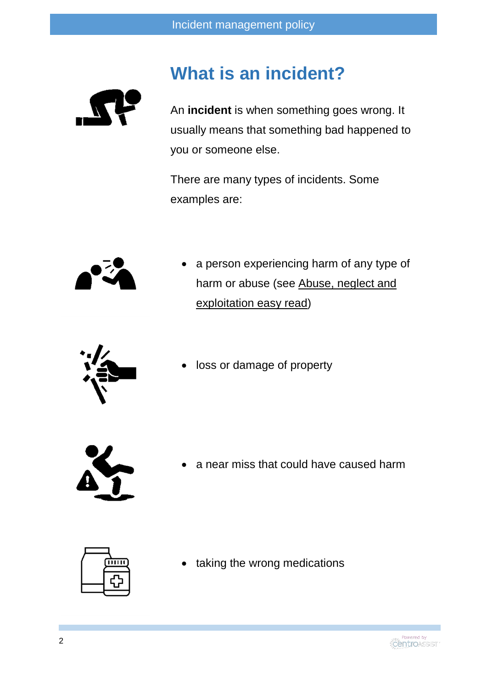### **What is an incident?**



An **incident** is when something goes wrong. It usually means that something bad happened to you or someone else.

There are many types of incidents. Some examples are:



 a person experiencing harm of any type of harm or abuse (see Abuse, neglect and exploitation easy read)



loss or damage of property



a near miss that could have caused harm



taking the wrong medications

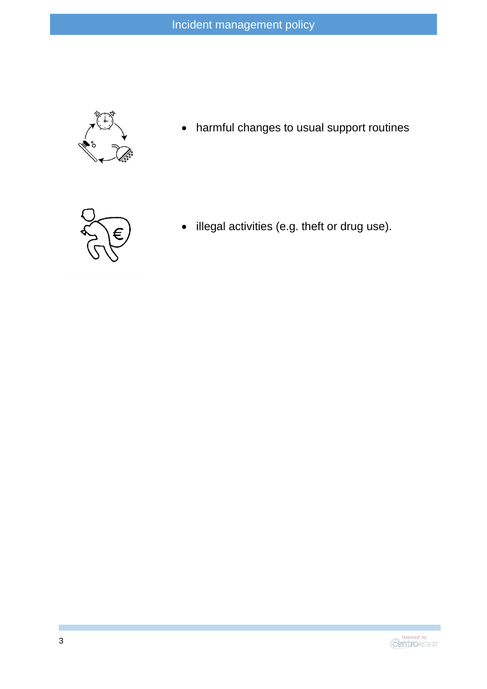

harmful changes to usual support routines



• illegal activities (e.g. theft or drug use).

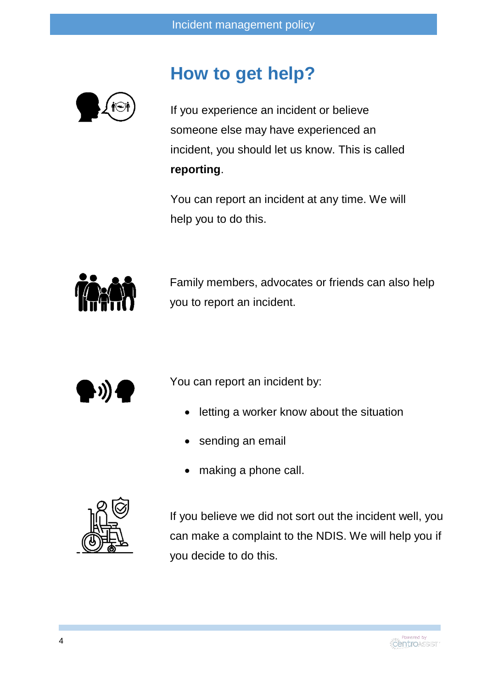

## **How to get help?**

If you experience an incident or believe someone else may have experienced an incident, you should let us know. This is called **reporting**.

You can report an incident at any time. We will help you to do this.



Family members, advocates or friends can also help you to report an incident.



You can report an incident by:

- letting a worker know about the situation
- sending an email
- making a phone call.



If you believe we did not sort out the incident well, you can make a complaint to the NDIS. We will help you if you decide to do this.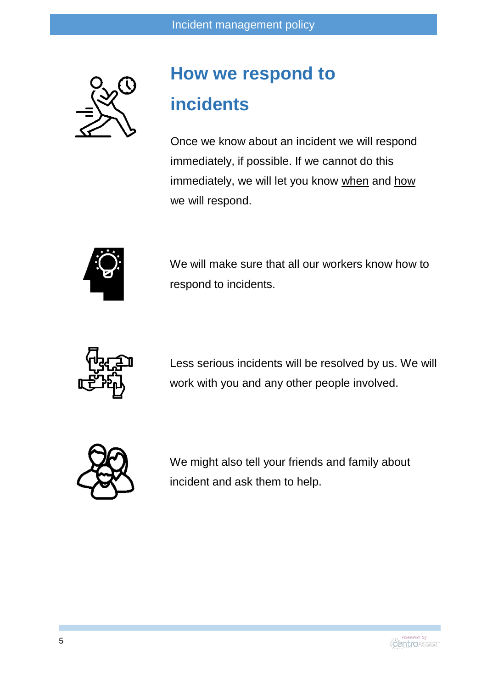

# **How we respond to incidents**

Once we know about an incident we will respond immediately, if possible. If we cannot do this immediately, we will let you know when and how we will respond.



We will make sure that all our workers know how to respond to incidents.



Less serious incidents will be resolved by us. We will work with you and any other people involved.



We might also tell your friends and family about incident and ask them to help.

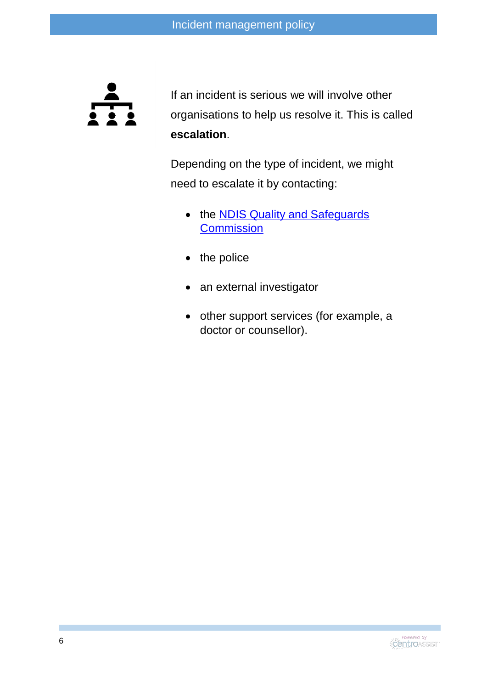

If an incident is serious we will involve other organisations to help us resolve it. This is called **escalation**.

Depending on the type of incident, we might need to escalate it by contacting:

- the **NDIS Quality and Safeguards [Commission](https://www.ndiscommission.gov.au/)**
- $\bullet$  the police
- an external investigator
- other support services (for example, a doctor or counsellor).

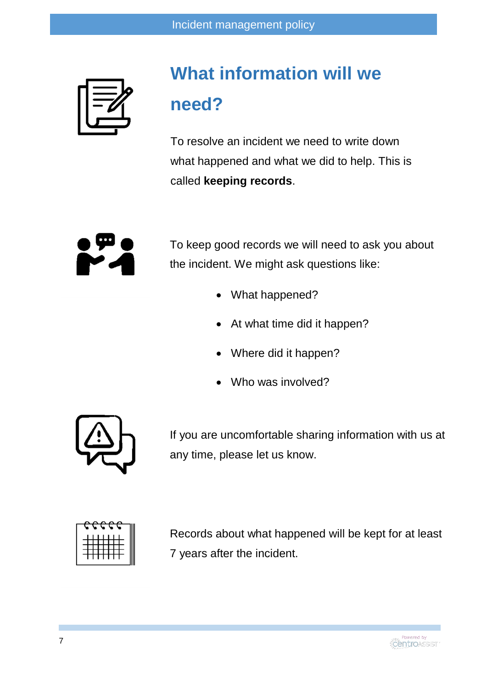## **What information will we need?**

To resolve an incident we need to write down what happened and what we did to help. This is called **keeping records**.



To keep good records we will need to ask you about the incident. We might ask questions like:

- What happened?
- At what time did it happen?
- Where did it happen?
- Who was involved?



If you are uncomfortable sharing information with us at any time, please let us know.



Records about what happened will be kept for at least 7 years after the incident.